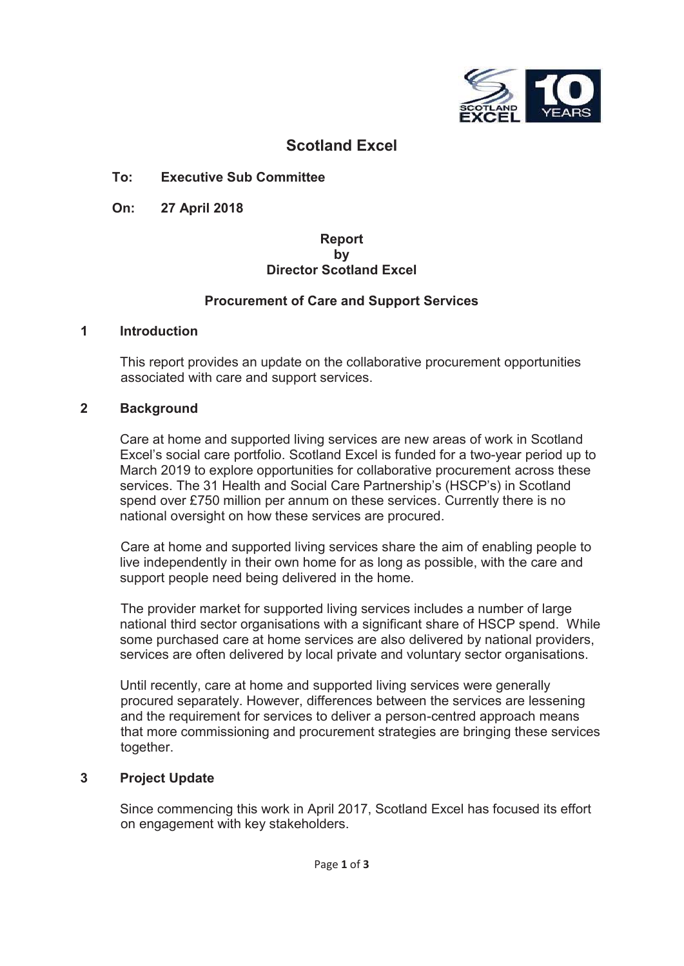

# **Scotland Excel**

# **To: Executive Sub Committee**

**On: 27 April 2018**

#### **Report by Director Scotland Excel**

# **Procurement of Care and Support Services**

#### **1 Introduction**

This report provides an update on the collaborative procurement opportunities associated with care and support services.

#### **2 Background**

Care at home and supported living services are new areas of work in Scotland Excel's social care portfolio. Scotland Excel is funded for a two-year period up to March 2019 to explore opportunities for collaborative procurement across these services. The 31 Health and Social Care Partnership's (HSCP's) in Scotland spend over £750 million per annum on these services. Currently there is no national oversight on how these services are procured.

Care at home and supported living services share the aim of enabling people to live independently in their own home for as long as possible, with the care and support people need being delivered in the home.

The provider market for supported living services includes a number of large national third sector organisations with a significant share of HSCP spend. While some purchased care at home services are also delivered by national providers, services are often delivered by local private and voluntary sector organisations.

Until recently, care at home and supported living services were generally procured separately. However, differences between the services are lessening and the requirement for services to deliver a person-centred approach means that more commissioning and procurement strategies are bringing these services together.

# **3 Project Update**

Since commencing this work in April 2017, Scotland Excel has focused its effort on engagement with key stakeholders.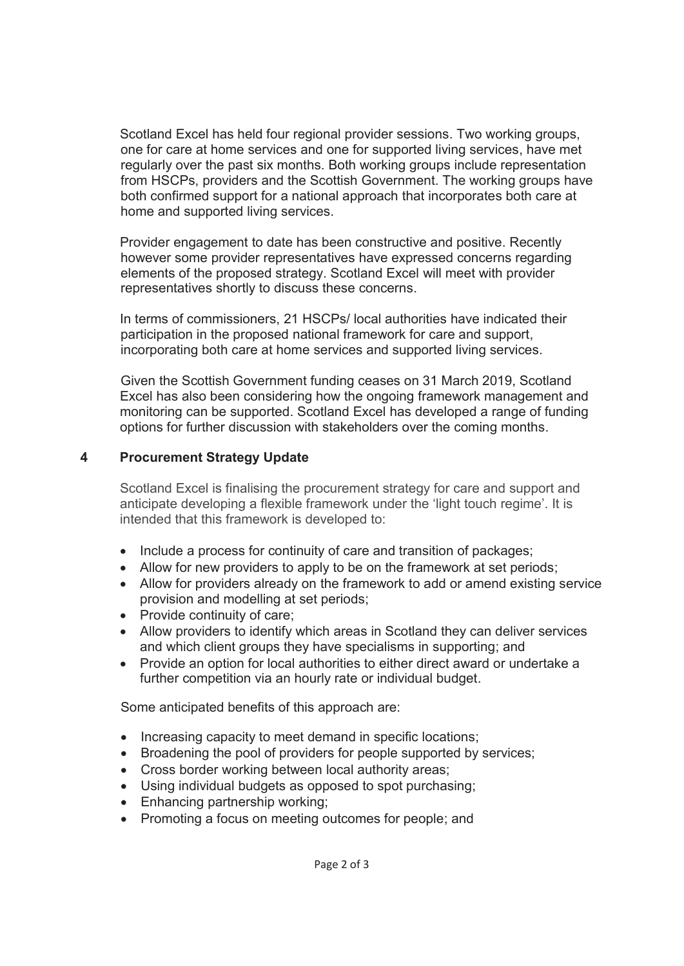Scotland Excel has held four regional provider sessions. Two working groups, one for care at home services and one for supported living services, have met regularly over the past six months. Both working groups include representation from HSCPs, providers and the Scottish Government. The working groups have both confirmed support for a national approach that incorporates both care at home and supported living services.

Provider engagement to date has been constructive and positive. Recently however some provider representatives have expressed concerns regarding elements of the proposed strategy. Scotland Excel will meet with provider representatives shortly to discuss these concerns.

In terms of commissioners, 21 HSCPs/ local authorities have indicated their participation in the proposed national framework for care and support, incorporating both care at home services and supported living services.

Given the Scottish Government funding ceases on 31 March 2019, Scotland Excel has also been considering how the ongoing framework management and monitoring can be supported. Scotland Excel has developed a range of funding options for further discussion with stakeholders over the coming months.

# **4 Procurement Strategy Update**

Scotland Excel is finalising the procurement strategy for care and support and anticipate developing a flexible framework under the 'light touch regime'. It is intended that this framework is developed to:

- Include a process for continuity of care and transition of packages;
- Allow for new providers to apply to be on the framework at set periods;
- Allow for providers already on the framework to add or amend existing service provision and modelling at set periods;
- $\bullet$  Provide continuity of care;
- Allow providers to identify which areas in Scotland they can deliver services and which client groups they have specialisms in supporting; and
- Provide an option for local authorities to either direct award or undertake a further competition via an hourly rate or individual budget.

Some anticipated benefits of this approach are:

- Increasing capacity to meet demand in specific locations;
- Broadening the pool of providers for people supported by services;
- Cross border working between local authority areas;
- Using individual budgets as opposed to spot purchasing;
- $\bullet$  Enhancing partnership working;
- Promoting a focus on meeting outcomes for people; and